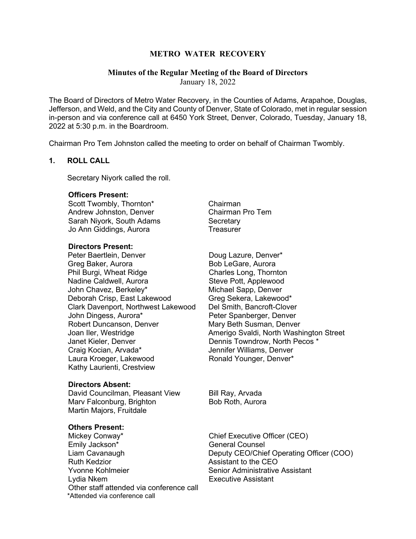# **METRO WATER RECOVERY**

# **Minutes of the Regular Meeting of the Board of Directors**

January 18, 2022

The Board of Directors of Metro Water Recovery, in the Counties of Adams, Arapahoe, Douglas, Jefferson, and Weld, and the City and County of Denver, State of Colorado, met in regular session in-person and via conference call at 6450 York Street, Denver, Colorado, Tuesday, January 18, 2022 at 5:30 p.m. in the Boardroom.

Chairman Pro Tem Johnston called the meeting to order on behalf of Chairman Twombly.

# **1. ROLL CALL**

Secretary Niyork called the roll.

# **Officers Present:**

Scott Twombly, Thornton\* Chairman Andrew Johnston, Denver Chairman Pro Tem Sarah Niyork, South Adams Secretary Jo Ann Giddings, Aurora **Treasurer** 

### **Directors Present:**

Peter Baertlein, Denver **Doug Lazure**, Denver\* Greg Baker, Aurora **Bob LeGare**, Aurora Phil Burgi, Wheat Ridge<br>
Nadine Caldwell, Aurora<br>
Charles Long, Thornton<br>
Steve Pott, Applewood John Chavez, Berkeley\* Michael Sapp, Denver<br>Deborah Crisp, East Lakewood Greg Sekera, Lakewood\* Deborah Crisp, East Lakewood Clark Davenport, Northwest Lakewood Del Smith, Bancroft-Clover Robert Duncanson, Denver Mary Beth Susman, Denver Janet Kieler, Denver **Dennis Towndrow, North Pecos** \* Craig Kocian, Arvada\* Jennifer Williams, Denver Laura Kroeger, Lakewood Ronald Younger, Denver\* Kathy Laurienti, Crestview

### **Directors Absent:**

David Councilman, Pleasant View Bill Ray, Arvada Marv Falconburg, Brighton Bob Roth, Aurora Martin Majors, Fruitdale

### **Others Present:**

Mickey Conway\* The Chief Executive Officer (CEO) Emily Jackson\* General Counsel Ruth Kedzior **Assistant to the CEO** Yvonne Kohlmeier Senior Administrative Assistant Lydia Nkem **Executive Assistant** Other staff attended via conference call \*Attended via conference call

Steve Pott, Applewood Peter Spanberger, Denver Joan Iler, Westridge **Amerigo Svaldi, North Washington Street** 

Liam Cavanaugh Deputy CEO/Chief Operating Officer (COO)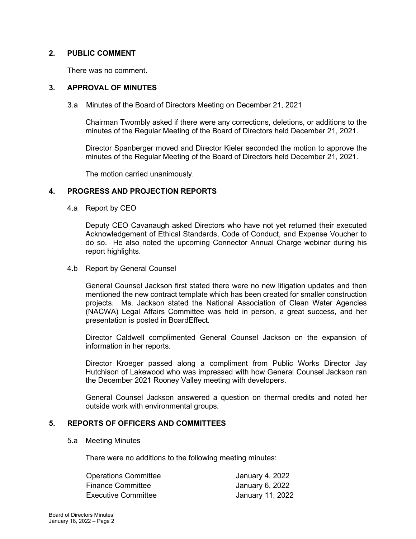# **2. PUBLIC COMMENT**

There was no comment.

# **3. APPROVAL OF MINUTES**

3.a Minutes of the Board of Directors Meeting on December 21, 2021

Chairman Twombly asked if there were any corrections, deletions, or additions to the minutes of the Regular Meeting of the Board of Directors held December 21, 2021.

Director Spanberger moved and Director Kieler seconded the motion to approve the minutes of the Regular Meeting of the Board of Directors held December 21, 2021.

The motion carried unanimously.

# **4. PROGRESS AND PROJECTION REPORTS**

4.a Report by CEO

Deputy CEO Cavanaugh asked Directors who have not yet returned their executed Acknowledgement of Ethical Standards, Code of Conduct, and Expense Voucher to do so. He also noted the upcoming Connector Annual Charge webinar during his report highlights.

4.b Report by General Counsel

General Counsel Jackson first stated there were no new litigation updates and then mentioned the new contract template which has been created for smaller construction projects. Ms. Jackson stated the National Association of Clean Water Agencies (NACWA) Legal Affairs Committee was held in person, a great success, and her presentation is posted in BoardEffect.

Director Caldwell complimented General Counsel Jackson on the expansion of information in her reports.

Director Kroeger passed along a compliment from Public Works Director Jay Hutchison of Lakewood who was impressed with how General Counsel Jackson ran the December 2021 Rooney Valley meeting with developers.

General Counsel Jackson answered a question on thermal credits and noted her outside work with environmental groups.

# **5. REPORTS OF OFFICERS AND COMMITTEES**

### 5.a Meeting Minutes

There were no additions to the following meeting minutes:

| <b>Operations Committee</b> | January 4, 2022  |
|-----------------------------|------------------|
| <b>Finance Committee</b>    | January 6, 2022  |
| <b>Executive Committee</b>  | January 11, 2022 |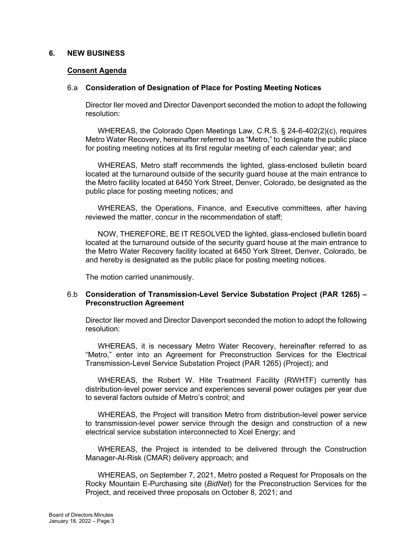## **6. NEW BUSINESS**

### **Consent Agenda**

## 6.a **Consideration of Designation of Place for Posting Meeting Notices**

Director Iler moved and Director Davenport seconded the motion to adopt the following resolution:

WHEREAS, the Colorado Open Meetings Law, C.R.S. § 24-6-402(2)(c), requires Metro Water Recovery, hereinafter referred to as "Metro," to designate the public place for posting meeting notices at its first regular meeting of each calendar year; and

WHEREAS, Metro staff recommends the lighted, glass-enclosed bulletin board located at the turnaround outside of the security guard house at the main entrance to the Metro facility located at 6450 York Street, Denver, Colorado, be designated as the public place for posting meeting notices; and

WHEREAS, the Operations, Finance, and Executive committees, after having reviewed the matter, concur in the recommendation of staff;

NOW, THEREFORE, BE IT RESOLVED the lighted, glass-enclosed bulletin board located at the turnaround outside of the security guard house at the main entrance to the Metro Water Recovery facility located at 6450 York Street, Denver, Colorado, be and hereby is designated as the public place for posting meeting notices.

The motion carried unanimously.

# 6.b **Consideration of Transmission-Level Service Substation Project (PAR 1265) – Preconstruction Agreement**

Director Iler moved and Director Davenport seconded the motion to adopt the following resolution:

WHEREAS, it is necessary Metro Water Recovery, hereinafter referred to as "Metro," enter into an Agreement for Preconstruction Services for the Electrical Transmission-Level Service Substation Project (PAR 1265) (Project); and

WHEREAS, the Robert W. Hite Treatment Facility (RWHTF) currently has distribution-level power service and experiences several power outages per year due to several factors outside of Metro's control; and

WHEREAS, the Project will transition Metro from distribution-level power service to transmission-level power service through the design and construction of a new electrical service substation interconnected to Xcel Energy; and

WHEREAS, the Project is intended to be delivered through the Construction Manager-At-Risk (CMAR) delivery approach; and

WHEREAS, on September 7, 2021, Metro posted a Request for Proposals on the Rocky Mountain E-Purchasing site (*BidNet*) for the Preconstruction Services for the Project, and received three proposals on October 8, 2021; and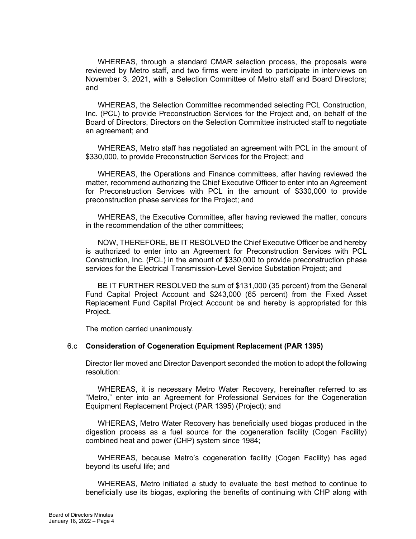WHEREAS, through a standard CMAR selection process, the proposals were reviewed by Metro staff, and two firms were invited to participate in interviews on November 3, 2021, with a Selection Committee of Metro staff and Board Directors; and

WHEREAS, the Selection Committee recommended selecting PCL Construction, Inc. (PCL) to provide Preconstruction Services for the Project and, on behalf of the Board of Directors, Directors on the Selection Committee instructed staff to negotiate an agreement; and

WHEREAS, Metro staff has negotiated an agreement with PCL in the amount of \$330,000, to provide Preconstruction Services for the Project; and

WHEREAS, the Operations and Finance committees, after having reviewed the matter, recommend authorizing the Chief Executive Officer to enter into an Agreement for Preconstruction Services with PCL in the amount of \$330,000 to provide preconstruction phase services for the Project; and

WHEREAS, the Executive Committee, after having reviewed the matter, concurs in the recommendation of the other committees;

NOW, THEREFORE, BE IT RESOLVED the Chief Executive Officer be and hereby is authorized to enter into an Agreement for Preconstruction Services with PCL Construction, Inc. (PCL) in the amount of \$330,000 to provide preconstruction phase services for the Electrical Transmission-Level Service Substation Project; and

BE IT FURTHER RESOLVED the sum of \$131,000 (35 percent) from the General Fund Capital Project Account and \$243,000 (65 percent) from the Fixed Asset Replacement Fund Capital Project Account be and hereby is appropriated for this Project.

The motion carried unanimously.

#### 6.c **Consideration of Cogeneration Equipment Replacement (PAR 1395)**

Director Iler moved and Director Davenport seconded the motion to adopt the following resolution:

WHEREAS, it is necessary Metro Water Recovery, hereinafter referred to as "Metro," enter into an Agreement for Professional Services for the Cogeneration Equipment Replacement Project (PAR 1395) (Project); and

WHEREAS, Metro Water Recovery has beneficially used biogas produced in the digestion process as a fuel source for the cogeneration facility (Cogen Facility) combined heat and power (CHP) system since 1984;

WHEREAS, because Metro's cogeneration facility (Cogen Facility) has aged beyond its useful life; and

WHEREAS, Metro initiated a study to evaluate the best method to continue to beneficially use its biogas, exploring the benefits of continuing with CHP along with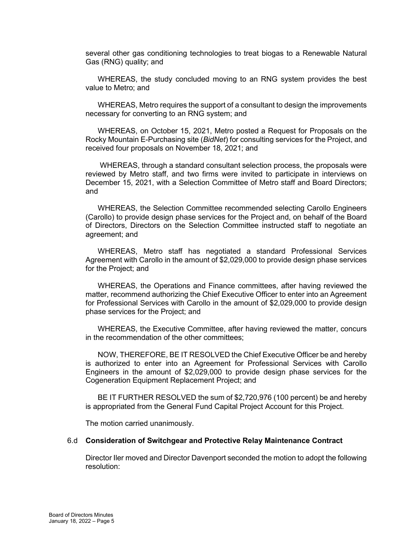several other gas conditioning technologies to treat biogas to a Renewable Natural Gas (RNG) quality; and

WHEREAS, the study concluded moving to an RNG system provides the best value to Metro; and

WHEREAS, Metro requires the support of a consultant to design the improvements necessary for converting to an RNG system; and

WHEREAS, on October 15, 2021, Metro posted a Request for Proposals on the Rocky Mountain E-Purchasing site (*BidNet*) for consulting services for the Project, and received four proposals on November 18, 2021; and

WHEREAS, through a standard consultant selection process, the proposals were reviewed by Metro staff, and two firms were invited to participate in interviews on December 15, 2021, with a Selection Committee of Metro staff and Board Directors; and

WHEREAS, the Selection Committee recommended selecting Carollo Engineers (Carollo) to provide design phase services for the Project and, on behalf of the Board of Directors, Directors on the Selection Committee instructed staff to negotiate an agreement; and

WHEREAS, Metro staff has negotiated a standard Professional Services Agreement with Carollo in the amount of \$2,029,000 to provide design phase services for the Project; and

WHEREAS, the Operations and Finance committees, after having reviewed the matter, recommend authorizing the Chief Executive Officer to enter into an Agreement for Professional Services with Carollo in the amount of \$2,029,000 to provide design phase services for the Project; and

WHEREAS, the Executive Committee, after having reviewed the matter, concurs in the recommendation of the other committees;

NOW, THEREFORE, BE IT RESOLVED the Chief Executive Officer be and hereby is authorized to enter into an Agreement for Professional Services with Carollo Engineers in the amount of \$2,029,000 to provide design phase services for the Cogeneration Equipment Replacement Project; and

BE IT FURTHER RESOLVED the sum of \$2,720,976 (100 percent) be and hereby is appropriated from the General Fund Capital Project Account for this Project.

The motion carried unanimously.

#### 6.d **Consideration of Switchgear and Protective Relay Maintenance Contract**

Director Iler moved and Director Davenport seconded the motion to adopt the following resolution: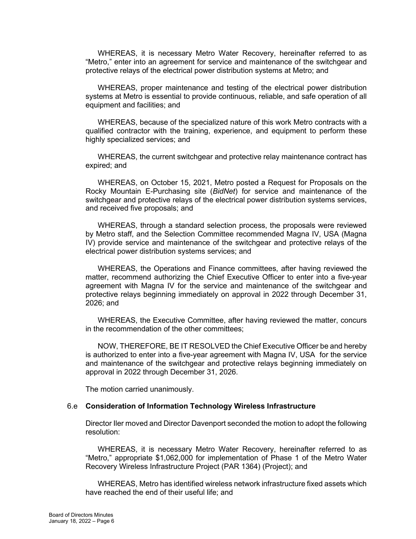WHEREAS, it is necessary Metro Water Recovery, hereinafter referred to as "Metro," enter into an agreement for service and maintenance of the switchgear and protective relays of the electrical power distribution systems at Metro; and

WHEREAS, proper maintenance and testing of the electrical power distribution systems at Metro is essential to provide continuous, reliable, and safe operation of all equipment and facilities; and

WHEREAS, because of the specialized nature of this work Metro contracts with a qualified contractor with the training, experience, and equipment to perform these highly specialized services; and

WHEREAS, the current switchgear and protective relay maintenance contract has expired; and

WHEREAS, on October 15, 2021, Metro posted a Request for Proposals on the Rocky Mountain E-Purchasing site (*BidNet*) for service and maintenance of the switchgear and protective relays of the electrical power distribution systems services, and received five proposals; and

WHEREAS, through a standard selection process, the proposals were reviewed by Metro staff, and the Selection Committee recommended Magna IV, USA (Magna IV) provide service and maintenance of the switchgear and protective relays of the electrical power distribution systems services; and

WHEREAS, the Operations and Finance committees, after having reviewed the matter, recommend authorizing the Chief Executive Officer to enter into a five-year agreement with Magna IV for the service and maintenance of the switchgear and protective relays beginning immediately on approval in 2022 through December 31, 2026; and

WHEREAS, the Executive Committee, after having reviewed the matter, concurs in the recommendation of the other committees;

NOW, THEREFORE, BE IT RESOLVED the Chief Executive Officer be and hereby is authorized to enter into a five-year agreement with Magna IV, USA for the service and maintenance of the switchgear and protective relays beginning immediately on approval in 2022 through December 31, 2026.

The motion carried unanimously.

#### 6.e **Consideration of Information Technology Wireless Infrastructure**

Director Iler moved and Director Davenport seconded the motion to adopt the following resolution:

WHEREAS, it is necessary Metro Water Recovery, hereinafter referred to as "Metro," appropriate \$1,062,000 for implementation of Phase 1 of the Metro Water Recovery Wireless Infrastructure Project (PAR 1364) (Project); and

WHEREAS, Metro has identified wireless network infrastructure fixed assets which have reached the end of their useful life; and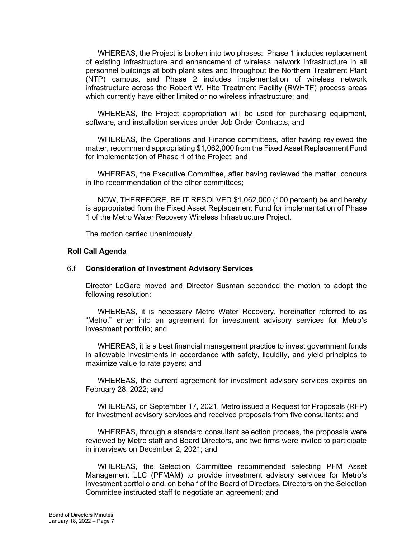WHEREAS, the Project is broken into two phases: Phase 1 includes replacement of existing infrastructure and enhancement of wireless network infrastructure in all personnel buildings at both plant sites and throughout the Northern Treatment Plant (NTP) campus, and Phase 2 includes implementation of wireless network infrastructure across the Robert W. Hite Treatment Facility (RWHTF) process areas which currently have either limited or no wireless infrastructure; and

WHEREAS, the Project appropriation will be used for purchasing equipment, software, and installation services under Job Order Contracts; and

WHEREAS, the Operations and Finance committees, after having reviewed the matter, recommend appropriating \$1,062,000 from the Fixed Asset Replacement Fund for implementation of Phase 1 of the Project; and

WHEREAS, the Executive Committee, after having reviewed the matter, concurs in the recommendation of the other committees;

NOW, THEREFORE, BE IT RESOLVED \$1,062,000 (100 percent) be and hereby is appropriated from the Fixed Asset Replacement Fund for implementation of Phase 1 of the Metro Water Recovery Wireless Infrastructure Project.

The motion carried unanimously.

#### **Roll Call Agenda**

#### 6.f **Consideration of Investment Advisory Services**

Director LeGare moved and Director Susman seconded the motion to adopt the following resolution:

WHEREAS, it is necessary Metro Water Recovery, hereinafter referred to as "Metro," enter into an agreement for investment advisory services for Metro's investment portfolio; and

WHEREAS, it is a best financial management practice to invest government funds in allowable investments in accordance with safety, liquidity, and yield principles to maximize value to rate payers; and

WHEREAS, the current agreement for investment advisory services expires on February 28, 2022; and

WHEREAS, on September 17, 2021, Metro issued a Request for Proposals (RFP) for investment advisory services and received proposals from five consultants; and

WHEREAS, through a standard consultant selection process, the proposals were reviewed by Metro staff and Board Directors, and two firms were invited to participate in interviews on December 2, 2021; and

WHEREAS, the Selection Committee recommended selecting PFM Asset Management LLC (PFMAM) to provide investment advisory services for Metro's investment portfolio and, on behalf of the Board of Directors, Directors on the Selection Committee instructed staff to negotiate an agreement; and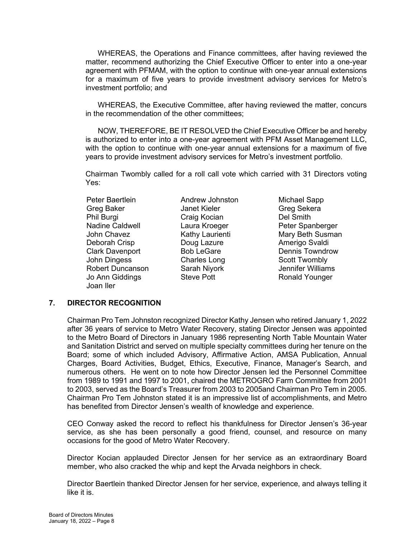WHEREAS, the Operations and Finance committees, after having reviewed the matter, recommend authorizing the Chief Executive Officer to enter into a one-year agreement with PFMAM, with the option to continue with one-year annual extensions for a maximum of five years to provide investment advisory services for Metro's investment portfolio; and

WHEREAS, the Executive Committee, after having reviewed the matter, concurs in the recommendation of the other committees;

NOW, THEREFORE, BE IT RESOLVED the Chief Executive Officer be and hereby is authorized to enter into a one-year agreement with PFM Asset Management LLC, with the option to continue with one-year annual extensions for a maximum of five years to provide investment advisory services for Metro's investment portfolio.

Chairman Twombly called for a roll call vote which carried with 31 Directors voting Yes:

Peter Baertlein **Andrew Johnston** Michael Sapp Greg Baker **Janet Kieler** Greg Sekera Phil Burgi **Craig Kocian** Del Smith Nadine Caldwell **Laura Kroeger** Peter Spanberger Deborah Crisp **Doug Lazure Doug Lazure Amerigo Svaldi** Clark Davenport **Bob LeGare Dennis Towndrow** John Dingess **Charles Long Scott Twombly** Robert Duncanson Sarah Niyork Jennifer Williams Jo Ann Giddings Steve Pott Ronald Younger Joan Iler

John Chavez **Kathy Laurienti** Mary Beth Susman

## **7. DIRECTOR RECOGNITION**

Chairman Pro Tem Johnston recognized Director Kathy Jensen who retired January 1, 2022 after 36 years of service to Metro Water Recovery, stating Director Jensen was appointed to the Metro Board of Directors in January 1986 representing North Table Mountain Water and Sanitation District and served on multiple specialty committees during her tenure on the Board; some of which included Advisory, Affirmative Action, AMSA Publication, Annual Charges, Board Activities, Budget, Ethics, Executive, Finance, Manager's Search, and numerous others. He went on to note how Director Jensen led the Personnel Committee from 1989 to 1991 and 1997 to 2001, chaired the METROGRO Farm Committee from 2001 to 2003, served as the Board's Treasurer from 2003 to 2005and Chairman Pro Tem in 2005. Chairman Pro Tem Johnston stated it is an impressive list of accomplishments, and Metro has benefited from Director Jensen's wealth of knowledge and experience.

CEO Conway asked the record to reflect his thankfulness for Director Jensen's 36-year service, as she has been personally a good friend, counsel, and resource on many occasions for the good of Metro Water Recovery.

Director Kocian applauded Director Jensen for her service as an extraordinary Board member, who also cracked the whip and kept the Arvada neighbors in check.

Director Baertlein thanked Director Jensen for her service, experience, and always telling it like it is.